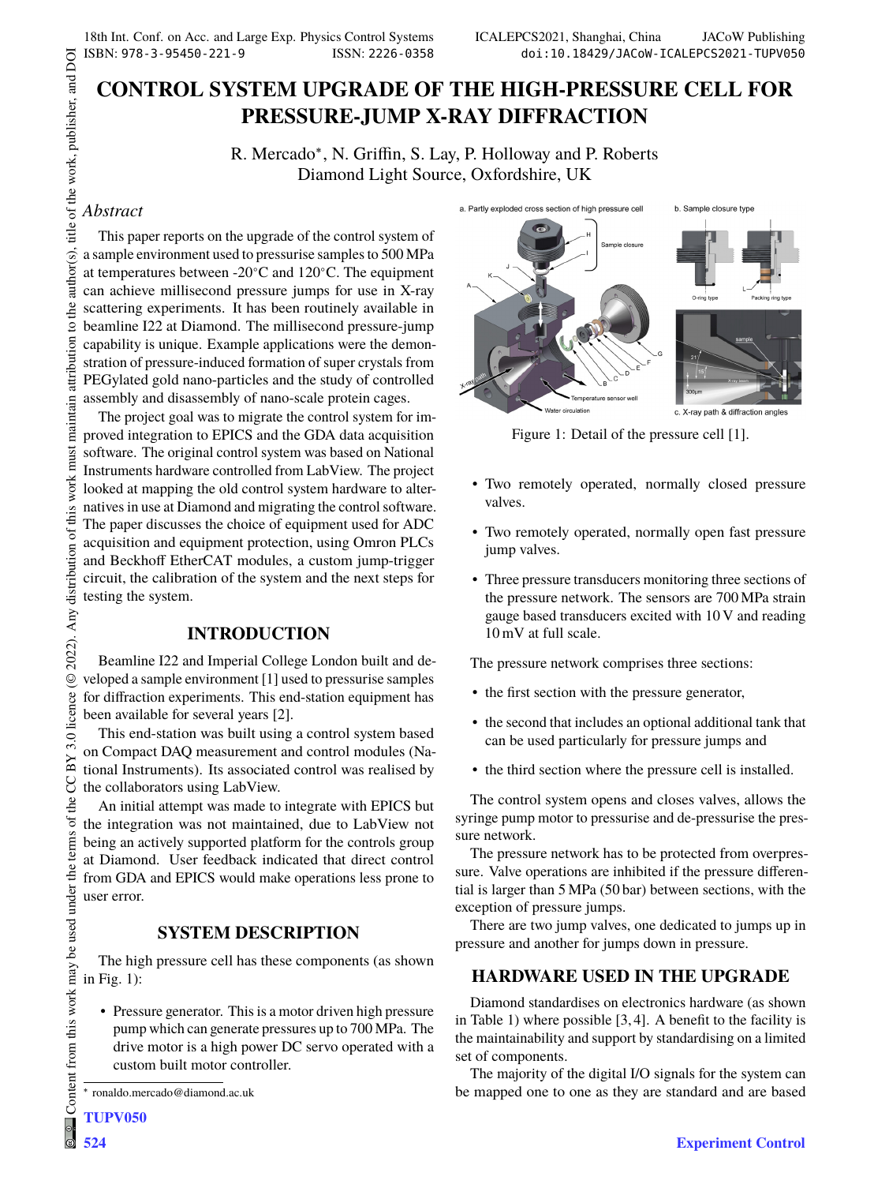# **CONTROL SYSTEM UPGRADE OF THE HIGH-PRESSURE CELL FOR PRESSURE-JUMP X-RAY DIFFRACTION**

R. Mercado<sup>∗</sup> , N. Griffin, S. Lay, P. Holloway and P. Roberts Diamond Light Source, Oxfordshire, UK

### *Abstract*

This paper reports on the upgrade of the control system of a sample environment used to pressurise samples to 500 MPa at temperatures between -20∘C and 120∘C. The equipment can achieve millisecond pressure jumps for use in X-ray scattering experiments. It has been routinely available in beamline I22 at Diamond. The millisecond pressure-jump capability is unique. Example applications were the demonstration of pressure-induced formation of super crystals from PEGylated gold nano-particles and the study of controlled assembly and disassembly of nano-scale protein cages.

The project goal was to migrate the control system for improved integration to EPICS and the GDA data acquisition software. The original control system was based on National Instruments hardware controlled from LabView. The project looked at mapping the old control system hardware to alternatives in use at Diamond and migrating the control software. The paper discusses the choice of equipment used for ADC acquisition and equipment protection, using Omron PLCs and Beckhoff EtherCAT modules, a custom jump-trigger circuit, the calibration of the system and the next steps for testing the system.

## **INTRODUCTION**

Beamline I22 and Imperial College London built and developed a sample environment [1] used to pressurise samples for diffraction experiments. This end-station equipment has been available for several years [2].

This end-station was built using a control system based on Compact DAQ measurement and control modules (National Instruments). Its associated control was realised by the collaborators using LabView.

An initial attempt was made to integrate with EPICS but the integration was not maintained, due to LabView not being an actively supported platform for the controls group at Diamond. User feedback indicated that direct control from GDA and EPICS would make operations less prone to user error.

## **SYSTEM DESCRIPTION**

The high pressure cell has these components (as shown in Fig. 1):

• Pressure generator. This is a motor driven high pressure pump which can generate pressures up to 700 MPa. The drive motor is a high power DC servo operated with a custom built motor controller.



Figure 1: Detail of the pressure cell [1].

- Two remotely operated, normally closed pressure valves.
- Two remotely operated, normally open fast pressure jump valves.
- Three pressure transducers monitoring three sections of the pressure network. The sensors are 700 MPa strain gauge based transducers excited with 10 V and reading 10 mV at full scale.

The pressure network comprises three sections:

- the first section with the pressure generator,
- the second that includes an optional additional tank that can be used particularly for pressure jumps and
- the third section where the pressure cell is installed.

The control system opens and closes valves, allows the syringe pump motor to pressurise and de-pressurise the pressure network.

The pressure network has to be protected from overpressure. Valve operations are inhibited if the pressure differential is larger than 5 MPa (50 bar) between sections, with the exception of pressure jumps.

There are two jump valves, one dedicated to jumps up in pressure and another for jumps down in pressure.

## **HARDWARE USED IN THE UPGRADE**

Diamond standardises on electronics hardware (as shown in Table 1) where possible [3, 4]. A benefit to the facility is the maintainability and support by standardising on a limited set of components.

The majority of the digital I/O signals for the system can be mapped one to one as they are standard and are based

<sup>∗</sup> ronaldo.mercado@diamond.ac.uk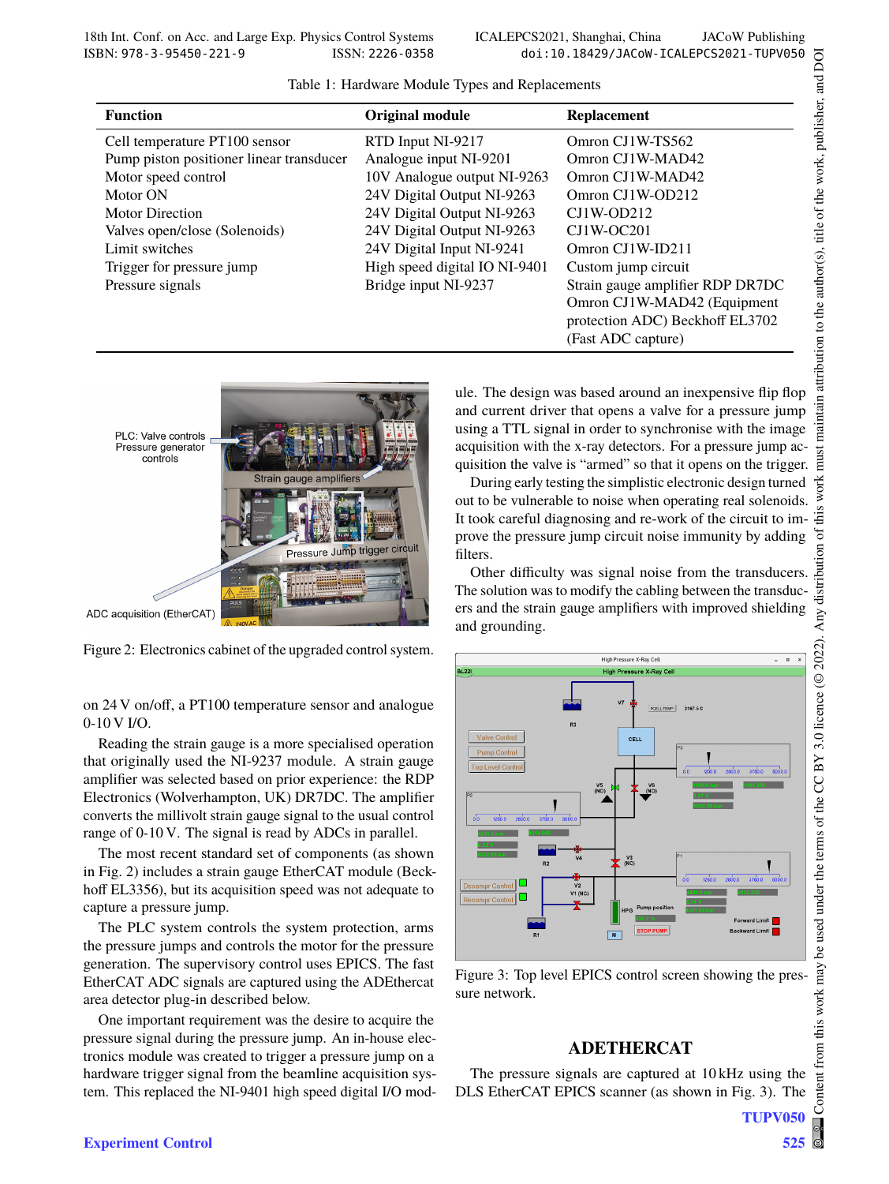| Table 1: Hardware Module Types and Replacements |  |  |
|-------------------------------------------------|--|--|
|-------------------------------------------------|--|--|

| <b>Function</b>                          | <b>Original module</b>        | <b>Replacement</b>               |
|------------------------------------------|-------------------------------|----------------------------------|
| Cell temperature PT100 sensor            | RTD Input NI-9217             | Omron CJ1W-TS562                 |
| Pump piston positioner linear transducer | Analogue input NI-9201        | Omron CJ1W-MAD42                 |
| Motor speed control                      | 10V Analogue output NI-9263   | Omron CJ1W-MAD42                 |
| Motor ON                                 | 24V Digital Output NI-9263    | Omron CJ1W-OD212                 |
| <b>Motor Direction</b>                   | 24V Digital Output NI-9263    | $CJ1W-OD212$                     |
| Valves open/close (Solenoids)            | 24V Digital Output NI-9263    | $CJ1W-OC201$                     |
| Limit switches                           | 24V Digital Input NI-9241     | Omron CJ1W-ID211                 |
| Trigger for pressure jump                | High speed digital IO NI-9401 | Custom jump circuit              |
| Pressure signals                         | Bridge input NI-9237          | Strain gauge amplifier RDP DR7DC |
|                                          |                               | Omron CJ1W-MAD42 (Equipment      |
|                                          |                               | protection ADC) Beckhoff EL3702  |
|                                          |                               | (Fast ADC capture)               |



Figure 2: Electronics cabinet of the upgraded control system.

on 24 V on/off, a PT100 temperature sensor and analogue 0-10 V I/O.

Reading the strain gauge is a more specialised operation that originally used the NI-9237 module. A strain gauge amplifier was selected based on prior experience: the RDP Electronics (Wolverhampton, UK) DR7DC. The amplifier converts the millivolt strain gauge signal to the usual control range of 0-10 V. The signal is read by ADCs in parallel.

The most recent standard set of components (as shown in Fig. 2) includes a strain gauge EtherCAT module (Beckhoff EL3356), but its acquisition speed was not adequate to capture a pressure jump.

The PLC system controls the system protection, arms the pressure jumps and controls the motor for the pressure generation. The supervisory control uses EPICS. The fast EtherCAT ADC signals are captured using the ADEthercat area detector plug-in described below.

One important requirement was the desire to acquire the pressure signal during the pressure jump. An in-house electronics module was created to trigger a pressure jump on a hardware trigger signal from the beamline acquisition system. This replaced the NI-9401 high speed digital I/O module. The design was based around an inexpensive flip flop and current driver that opens a valve for a pressure jump using a TTL signal in order to synchronise with the image acquisition with the x-ray detectors. For a pressure jump acquisition the valve is "armed" so that it opens on the trigger.

During early testing the simplistic electronic design turned out to be vulnerable to noise when operating real solenoids. It took careful diagnosing and re-work of the circuit to improve the pressure jump circuit noise immunity by adding filters.

Other difficulty was signal noise from the transducers. The solution was to modify the cabling between the transducers and the strain gauge amplifiers with improved shielding and grounding.



Figure 3: Top level EPICS control screen showing the pressure network.

#### **ADETHERCAT**

The pressure signals are captured at 10 kHz using the DLS EtherCAT EPICS scanner (as shown in Fig. 3). The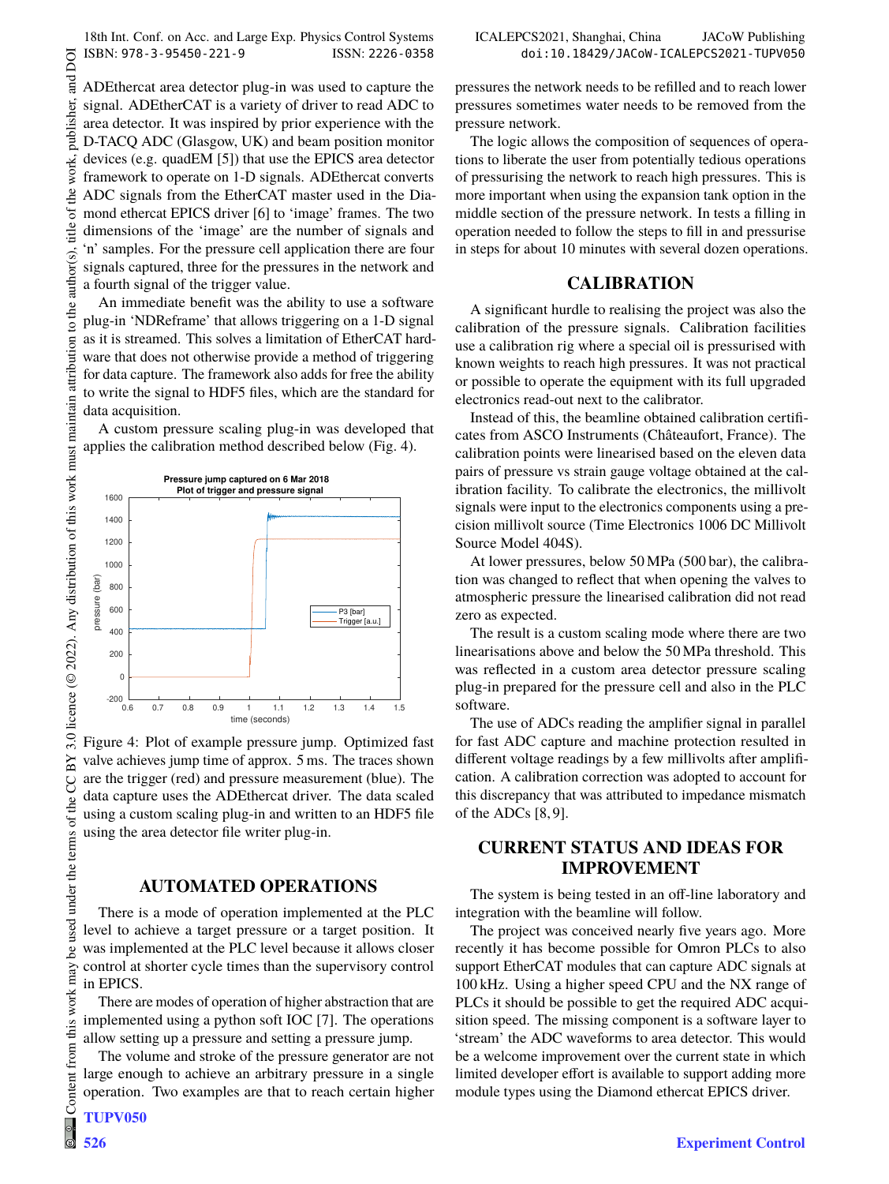ADEthercat area detector plug-in was used to capture the signal. ADEtherCAT is a variety of driver to read ADC to area detector. It was inspired by prior experience with the D-TACQ ADC (Glasgow, UK) and beam position monitor devices (e.g. quadEM [5]) that use the EPICS area detector framework to operate on 1-D signals. ADEthercat converts ADC signals from the EtherCAT master used in the Diamond ethercat EPICS driver [6] to 'image' frames. The two dimensions of the 'image' are the number of signals and 'n' samples. For the pressure cell application there are four signals captured, three for the pressures in the network and a fourth signal of the trigger value.

An immediate benefit was the ability to use a software plug-in 'NDReframe' that allows triggering on a 1-D signal as it is streamed. This solves a limitation of EtherCAT hardware that does not otherwise provide a method of triggering for data capture. The framework also adds for free the ability to write the signal to HDF5 files, which are the standard for data acquisition.

A custom pressure scaling plug-in was developed that applies the calibration method described below (Fig. 4).



Figure 4: Plot of example pressure jump. Optimized fast valve achieves jump time of approx. 5 ms. The traces shown are the trigger (red) and pressure measurement (blue). The data capture uses the ADEthercat driver. The data scaled using a custom scaling plug-in and written to an HDF5 file using the area detector file writer plug-in.

#### **AUTOMATED OPERATIONS**

There is a mode of operation implemented at the PLC level to achieve a target pressure or a target position. It was implemented at the PLC level because it allows closer control at shorter cycle times than the supervisory control in EPICS.

There are modes of operation of higher abstraction that are implemented using a python soft IOC [7]. The operations allow setting up a pressure and setting a pressure jump.

The volume and stroke of the pressure generator are not large enough to achieve an arbitrary pressure in a single operation. Two examples are that to reach certain higher

DOI

pressures the network needs to be refilled and to reach lower pressures sometimes water needs to be removed from the pressure network.

The logic allows the composition of sequences of operations to liberate the user from potentially tedious operations of pressurising the network to reach high pressures. This is more important when using the expansion tank option in the middle section of the pressure network. In tests a filling in operation needed to follow the steps to fill in and pressurise in steps for about 10 minutes with several dozen operations.

## **CALIBRATION**

A significant hurdle to realising the project was also the calibration of the pressure signals. Calibration facilities use a calibration rig where a special oil is pressurised with known weights to reach high pressures. It was not practical or possible to operate the equipment with its full upgraded electronics read-out next to the calibrator.

Instead of this, the beamline obtained calibration certificates from ASCO Instruments (Châteaufort, France). The calibration points were linearised based on the eleven data pairs of pressure vs strain gauge voltage obtained at the calibration facility. To calibrate the electronics, the millivolt signals were input to the electronics components using a precision millivolt source (Time Electronics 1006 DC Millivolt Source Model 404S).

At lower pressures, below 50 MPa (500 bar), the calibration was changed to reflect that when opening the valves to atmospheric pressure the linearised calibration did not read zero as expected.

The result is a custom scaling mode where there are two linearisations above and below the 50 MPa threshold. This was reflected in a custom area detector pressure scaling plug-in prepared for the pressure cell and also in the PLC software.

The use of ADCs reading the amplifier signal in parallel for fast ADC capture and machine protection resulted in different voltage readings by a few millivolts after amplification. A calibration correction was adopted to account for this discrepancy that was attributed to impedance mismatch of the ADCs [8, 9].

## **CURRENT STATUS AND IDEAS FOR IMPROVEMENT**

The system is being tested in an off-line laboratory and integration with the beamline will follow.

The project was conceived nearly five years ago. More recently it has become possible for Omron PLCs to also support EtherCAT modules that can capture ADC signals at 100 kHz. Using a higher speed CPU and the NX range of PLCs it should be possible to get the required ADC acquisition speed. The missing component is a software layer to 'stream' the ADC waveforms to area detector. This would be a welcome improvement over the current state in which limited developer effort is available to support adding more module types using the Diamond ethercat EPICS driver.

this work may

from 1

Content

 $\circledast$